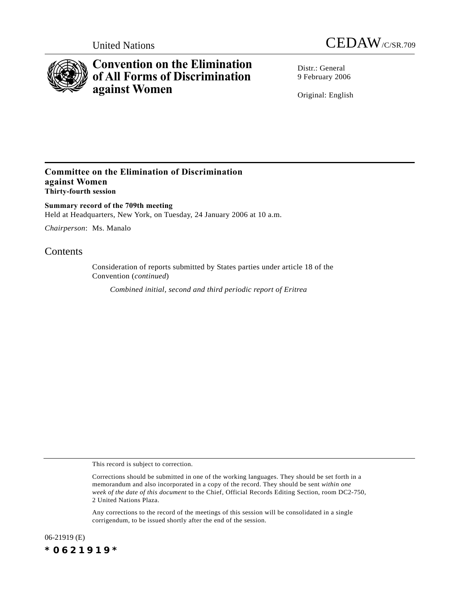



# **Convention on the Elimination of All Forms of Discrimination against Women**

Distr · General 9 February 2006

Original: English

## **Committee on the Elimination of Discrimination against Women Thirty-fourth session**

**Summary record of the 709th meeting** Held at Headquarters, New York, on Tuesday, 24 January 2006 at 10 a.m.

*Chairperson*: Ms. Manalo

# **Contents**

Consideration of reports submitted by States parties under article 18 of the Convention (*continued*)

*Combined initial, second and third periodic report of Eritrea*

This record is subject to correction.

Any corrections to the record of the meetings of this session will be consolidated in a single corrigendum, to be issued shortly after the end of the session.

06-21919 (E) *\*0621919\**

Corrections should be submitted in one of the working languages. They should be set forth in a memorandum and also incorporated in a copy of the record. They should be sent *within one week of the date of this document* to the Chief, Official Records Editing Section, room DC2-750, 2 United Nations Plaza.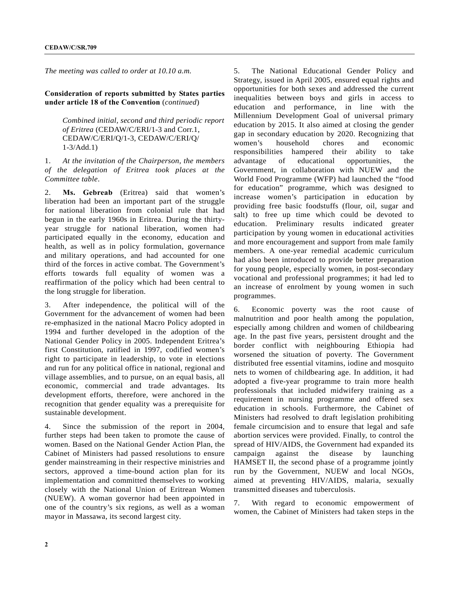*The meeting was called to order at 10.10 a.m.*

**Consideration of reports submitted by States parties under article 18 of the Convention** (*continued*)

*Combined initial, second and third periodic report of Eritrea* (CEDAW/C/ERI/1-3 and Corr.1, CEDAW/C/ERI/Q/1-3, CEDAW/C/ERI/Q/ 1-3/Add.1)

1. *At the invitation of the Chairperson, the members of the delegation of Eritrea took places at the Committee table*.

2. **Ms. Gebreab** (Eritrea) said that women's liberation had been an important part of the struggle for national liberation from colonial rule that had begun in the early 1960s in Eritrea. During the thirtyyear struggle for national liberation, women had participated equally in the economy, education and health, as well as in policy formulation, governance and military operations, and had accounted for one third of the forces in active combat. The Government's efforts towards full equality of women was a reaffirmation of the policy which had been central to the long struggle for liberation.

3. After independence, the political will of the Government for the advancement of women had been re-emphasized in the national Macro Policy adopted in 1994 and further developed in the adoption of the National Gender Policy in 2005. Independent Eritrea's first Constitution, ratified in 1997, codified women's right to participate in leadership, to vote in elections and run for any political office in national, regional and village assemblies, and to pursue, on an equal basis, all economic, commercial and trade advantages. Its development efforts, therefore, were anchored in the recognition that gender equality was a prerequisite for sustainable development.

4. Since the submission of the report in 2004, further steps had been taken to promote the cause of women. Based on the National Gender Action Plan, the Cabinet of Ministers had passed resolutions to ensure gender mainstreaming in their respective ministries and sectors, approved a time-bound action plan for its implementation and committed themselves to working closely with the National Union of Eritrean Women (NUEW). A woman governor had been appointed in one of the country's six regions, as well as a woman mayor in Massawa, its second largest city.

5. The National Educational Gender Policy and Strategy, issued in April 2005, ensured equal rights and opportunities for both sexes and addressed the current inequalities between boys and girls in access to education and performance, in line with the Millennium Development Goal of universal primary education by 2015. It also aimed at closing the gender gap in secondary education by 2020. Recognizing that women's household chores and economic responsibilities hampered their ability to take advantage of educational opportunities, the Government, in collaboration with NUEW and the World Food Programme (WFP) had launched the "food for education" programme, which was designed to increase women's participation in education by providing free basic foodstuffs (flour, oil, sugar and salt) to free up time which could be devoted to education. Preliminary results indicated greater participation by young women in educational activities and more encouragement and support from male family members. A one-year remedial academic curriculum had also been introduced to provide better preparation for young people, especially women, in post-secondary vocational and professional programmes; it had led to an increase of enrolment by young women in such programmes.

6. Economic poverty was the root cause of malnutrition and poor health among the population, especially among children and women of childbearing age. In the past five years, persistent drought and the border conflict with neighbouring Ethiopia had worsened the situation of poverty. The Government distributed free essential vitamins, iodine and mosquito nets to women of childbearing age. In addition, it had adopted a five-year programme to train more health professionals that included midwifery training as a requirement in nursing programme and offered sex education in schools. Furthermore, the Cabinet of Ministers had resolved to draft legislation prohibiting female circumcision and to ensure that legal and safe abortion services were provided. Finally, to control the spread of HIV/AIDS, the Government had expanded its campaign against the disease by launching HAMSET II, the second phase of a programme jointly run by the Government, NUEW and local NGOs, aimed at preventing HIV/AIDS, malaria, sexually transmitted diseases and tuberculosis.

7. With regard to economic empowerment of women, the Cabinet of Ministers had taken steps in the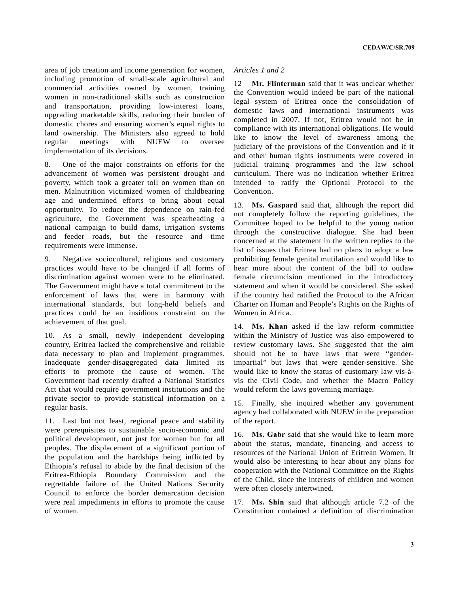area of job creation and income generation for women, including promotion of small-scale agricultural and commercial activities owned by women, training women in non-traditional skills such as construction and transportation, providing low-interest loans, upgrading marketable skills, reducing their burden of domestic chores and ensuring women's equal rights to land ownership. The Ministers also agreed to hold regular meetings with NUEW to oversee implementation of its decisions.

8. One of the major constraints on efforts for the advancement of women was persistent drought and poverty, which took a greater toll on women than on men. Malnutrition victimized women of childbearing age and undermined efforts to bring about equal opportunity. To reduce the dependence on rain-fed agriculture, the Government was spearheading a national campaign to build dams, irrigation systems and feeder roads, but the resource and time requirements were immense.

9. Negative sociocultural, religious and customary practices would have to be changed if all forms of discrimination against women were to be eliminated. The Government might have a total commitment to the enforcement of laws that were in harmony with international standards, but long-held beliefs and practices could be an insidious constraint on the achievement of that goal.

10. As a small, newly independent developing country, Eritrea lacked the comprehensive and reliable data necessary to plan and implement programmes. Inadequate gender-disaggregated data limited its efforts to promote the cause of women. The Government had recently drafted a National Statistics Act that would require government institutions and the private sector to provide statistical information on a regular basis.

11. Last but not least, regional peace and stability were prerequisites to sustainable socio-economic and political development, not just for women but for all peoples. The displacement of a significant portion of the population and the hardships being inflicted by Ethiopia's refusal to abide by the final decision of the Eritrea-Ethiopia Boundary Commission and the regrettable failure of the United Nations Security Council to enforce the border demarcation decision were real impediments in efforts to promote the cause of women.

### *Articles 1 and 2*

12 **Mr. Flinterman** said that it was unclear whether the Convention would indeed be part of the national legal system of Eritrea once the consolidation of domestic laws and international instruments was completed in 2007. If not, Eritrea would not be in compliance with its international obligations. He would like to know the level of awareness among the judiciary of the provisions of the Convention and if it and other human rights instruments were covered in judicial training programmes and the law school curriculum. There was no indication whether Eritrea intended to ratify the Optional Protocol to the Convention.

13. **Ms. Gaspard** said that, although the report did not completely follow the reporting guidelines, the Committee hoped to be helpful to the young nation through the constructive dialogue. She had been concerned at the statement in the written replies to the list of issues that Eritrea had no plans to adopt a law prohibiting female genital mutilation and would like to hear more about the content of the bill to outlaw female circumcision mentioned in the introductory statement and when it would be considered. She asked if the country had ratified the Protocol to the African Charter on Human and People's Rights on the Rights of Women in Africa.

14. **Ms. Khan** asked if the law reform committee within the Ministry of Justice was also empowered to review customary laws. She suggested that the aim should not be to have laws that were "genderimpartial" but laws that were gender-sensitive. She would like to know the status of customary law vis-àvis the Civil Code, and whether the Macro Policy would reform the laws governing marriage.

15. Finally, she inquired whether any government agency had collaborated with NUEW in the preparation of the report.

16. **Ms. Gabr** said that she would like to learn more about the status, mandate, financing and access to resources of the National Union of Eritrean Women. It would also be interesting to hear about any plans for cooperation with the National Committee on the Rights of the Child, since the interests of children and women were often closely intertwined.

17. **Ms. Shin** said that although article 7.2 of the Constitution contained a definition of discrimination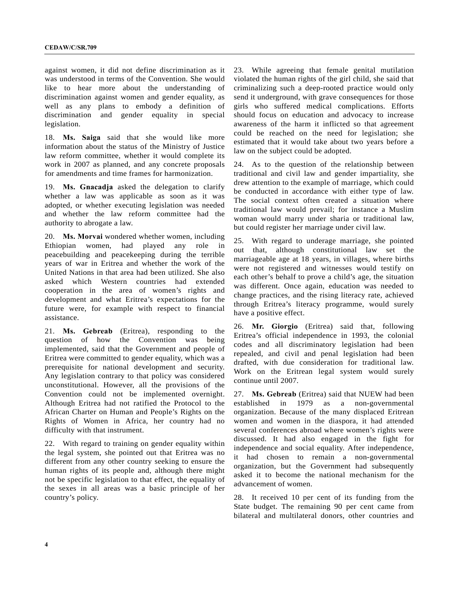against women, it did not define discrimination as it was understood in terms of the Convention. She would like to hear more about the understanding of discrimination against women and gender equality, as well as any plans to embody a definition of discrimination and gender equality in special legislation.

18. **Ms. Saiga** said that she would like more information about the status of the Ministry of Justice law reform committee, whether it would complete its work in 2007 as planned, and any concrete proposals for amendments and time frames for harmonization.

19. **Ms. Gnacadja** asked the delegation to clarify whether a law was applicable as soon as it was adopted, or whether executing legislation was needed and whether the law reform committee had the authority to abrogate a law.

20. **Ms. Morvai** wondered whether women, including Ethiopian women, had played any role in peacebuilding and peacekeeping during the terrible years of war in Eritrea and whether the work of the United Nations in that area had been utilized. She also asked which Western countries had extended cooperation in the area of women's rights and development and what Eritrea's expectations for the future were, for example with respect to financial assistance.

21. **Ms. Gebreab** (Eritrea), responding to the question of how the Convention was being implemented, said that the Government and people of Eritrea were committed to gender equality, which was a prerequisite for national development and security. Any legislation contrary to that policy was considered unconstitutional. However, all the provisions of the Convention could not be implemented overnight. Although Eritrea had not ratified the Protocol to the African Charter on Human and People's Rights on the Rights of Women in Africa, her country had no difficulty with that instrument.

22. With regard to training on gender equality within the legal system, she pointed out that Eritrea was no different from any other country seeking to ensure the human rights of its people and, although there might not be specific legislation to that effect, the equality of the sexes in all areas was a basic principle of her country's policy.

23. While agreeing that female genital mutilation violated the human rights of the girl child, she said that criminalizing such a deep-rooted practice would only send it underground, with grave consequences for those girls who suffered medical complications. Efforts should focus on education and advocacy to increase awareness of the harm it inflicted so that agreement could be reached on the need for legislation; she estimated that it would take about two years before a law on the subject could be adopted.

24. As to the question of the relationship between traditional and civil law and gender impartiality, she drew attention to the example of marriage, which could be conducted in accordance with either type of law. The social context often created a situation where traditional law would prevail; for instance a Muslim woman would marry under sharia or traditional law, but could register her marriage under civil law.

25. With regard to underage marriage, she pointed out that, although constitutional law set the marriageable age at 18 years, in villages, where births were not registered and witnesses would testify on each other's behalf to prove a child's age, the situation was different. Once again, education was needed to change practices, and the rising literacy rate, achieved through Eritrea's literacy programme, would surely have a positive effect.

26. **Mr. Giorgio** (Eritrea) said that, following Eritrea's official independence in 1993, the colonial codes and all discriminatory legislation had been repealed, and civil and penal legislation had been drafted, with due consideration for traditional law. Work on the Eritrean legal system would surely continue until 2007.

27. **Ms. Gebreab** (Eritrea) said that NUEW had been established in 1979 as a non-governmental organization. Because of the many displaced Eritrean women and women in the diaspora, it had attended several conferences abroad where women's rights were discussed. It had also engaged in the fight for independence and social equality. After independence, it had chosen to remain a non-governmental organization, but the Government had subsequently asked it to become the national mechanism for the advancement of women.

28. It received 10 per cent of its funding from the State budget. The remaining 90 per cent came from bilateral and multilateral donors, other countries and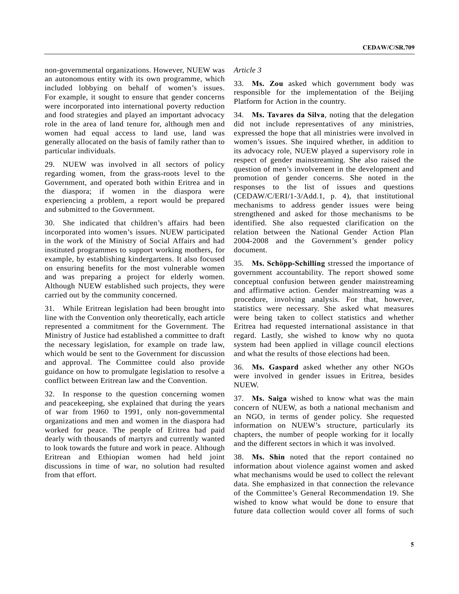non-governmental organizations. However, NUEW was an autonomous entity with its own programme, which included lobbying on behalf of women's issues. For example, it sought to ensure that gender concerns were incorporated into international poverty reduction and food strategies and played an important advocacy role in the area of land tenure for, although men and women had equal access to land use, land was generally allocated on the basis of family rather than to particular individuals.

29. NUEW was involved in all sectors of policy regarding women, from the grass-roots level to the Government, and operated both within Eritrea and in the diaspora; if women in the diaspora were experiencing a problem, a report would be prepared and submitted to the Government.

30. She indicated that children's affairs had been incorporated into women's issues. NUEW participated in the work of the Ministry of Social Affairs and had instituted programmes to support working mothers, for example, by establishing kindergartens. It also focused on ensuring benefits for the most vulnerable women and was preparing a project for elderly women. Although NUEW established such projects, they were carried out by the community concerned.

31. While Eritrean legislation had been brought into line with the Convention only theoretically, each article represented a commitment for the Government. The Ministry of Justice had established a committee to draft the necessary legislation, for example on trade law, which would be sent to the Government for discussion and approval. The Committee could also provide guidance on how to promulgate legislation to resolve a conflict between Eritrean law and the Convention.

32. In response to the question concerning women and peacekeeping, she explained that during the years of war from 1960 to 1991, only non-governmental organizations and men and women in the diaspora had worked for peace. The people of Eritrea had paid dearly with thousands of martyrs and currently wanted to look towards the future and work in peace. Although Eritrean and Ethiopian women had held joint discussions in time of war, no solution had resulted from that effort.

## *Article 3*

33. **Ms. Zou** asked which government body was responsible for the implementation of the Beijing Platform for Action in the country.

34. **Ms. Tavares da Silva**, noting that the delegation did not include representatives of any ministries, expressed the hope that all ministries were involved in women's issues. She inquired whether, in addition to its advocacy role, NUEW played a supervisory role in respect of gender mainstreaming. She also raised the question of men's involvement in the development and promotion of gender concerns. She noted in the responses to the list of issues and questions (CEDAW/C/ERI/1-3/Add.1, p. 4), that institutional mechanisms to address gender issues were being strengthened and asked for those mechanisms to be identified. She also requested clarification on the relation between the National Gender Action Plan 2004-2008 and the Government's gender policy document.

35. Ms. Schöpp-Schilling stressed the importance of government accountability. The report showed some conceptual confusion between gender mainstreaming and affirmative action. Gender mainstreaming was a procedure, involving analysis. For that, however, statistics were necessary. She asked what measures were being taken to collect statistics and whether Eritrea had requested international assistance in that regard. Lastly, she wished to know why no quota system had been applied in village council elections and what the results of those elections had been.

36. **Ms. Gaspard** asked whether any other NGOs were involved in gender issues in Eritrea, besides NUEW.

37. **Ms. Saiga** wished to know what was the main concern of NUEW, as both a national mechanism and an NGO, in terms of gender policy. She requested information on NUEW's structure, particularly its chapters, the number of people working for it locally and the different sectors in which it was involved.

38. **Ms. Shin** noted that the report contained no information about violence against women and asked what mechanisms would be used to collect the relevant data. She emphasized in that connection the relevance of the Committee's General Recommendation 19. She wished to know what would be done to ensure that future data collection would cover all forms of such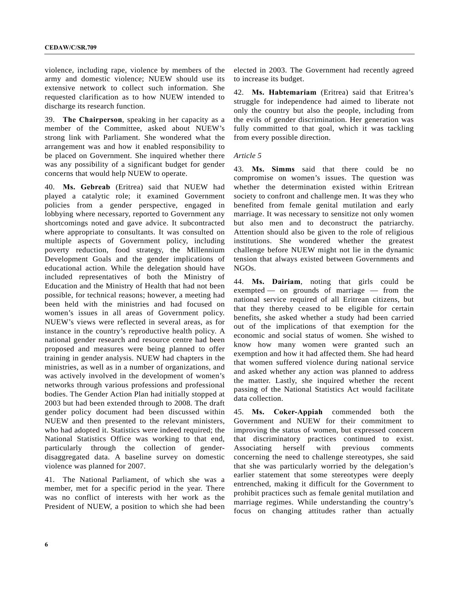violence, including rape, violence by members of the army and domestic violence; NUEW should use its extensive network to collect such information. She requested clarification as to how NUEW intended to discharge its research function.

39. **The Chairperson**, speaking in her capacity as a member of the Committee, asked about NUEW's strong link with Parliament. She wondered what the arrangement was and how it enabled responsibility to be placed on Government. She inquired whether there was any possibility of a significant budget for gender concerns that would help NUEW to operate.

40. **Ms. Gebreab** (Eritrea) said that NUEW had played a catalytic role; it examined Government policies from a gender perspective, engaged in lobbying where necessary, reported to Government any shortcomings noted and gave advice. It subcontracted where appropriate to consultants. It was consulted on multiple aspects of Government policy, including poverty reduction, food strategy, the Millennium Development Goals and the gender implications of educational action. While the delegation should have included representatives of both the Ministry of Education and the Ministry of Health that had not been possible, for technical reasons; however, a meeting had been held with the ministries and had focused on women's issues in all areas of Government policy. NUEW's views were reflected in several areas, as for instance in the country's reproductive health policy. A national gender research and resource centre had been proposed and measures were being planned to offer training in gender analysis. NUEW had chapters in the ministries, as well as in a number of organizations, and was actively involved in the development of women's networks through various professions and professional bodies. The Gender Action Plan had initially stopped at 2003 but had been extended through to 2008. The draft gender policy document had been discussed within NUEW and then presented to the relevant ministers, who had adopted it. Statistics were indeed required; the National Statistics Office was working to that end, particularly through the collection of genderdisaggregated data. A baseline survey on domestic violence was planned for 2007.

41. The National Parliament, of which she was a member, met for a specific period in the year. There was no conflict of interests with her work as the President of NUEW, a position to which she had been elected in 2003. The Government had recently agreed to increase its budget.

42. **Ms. Habtemariam** (Eritrea) said that Eritrea's struggle for independence had aimed to liberate not only the country but also the people, including from the evils of gender discrimination. Her generation was fully committed to that goal, which it was tackling from every possible direction.

#### *Article 5*

43. **Ms. Simms** said that there could be no compromise on women's issues. The question was whether the determination existed within Eritrean society to confront and challenge men. It was they who benefited from female genital mutilation and early marriage. It was necessary to sensitize not only women but also men and to deconstruct the patriarchy. Attention should also be given to the role of religious institutions. She wondered whether the greatest challenge before NUEW might not lie in the dynamic tension that always existed between Governments and NGOs.

44. **Ms. Dairiam**, noting that girls could be exempted — on grounds of marriage — from the national service required of all Eritrean citizens, but that they thereby ceased to be eligible for certain benefits, she asked whether a study had been carried out of the implications of that exemption for the economic and social status of women. She wished to know how many women were granted such an exemption and how it had affected them. She had heard that women suffered violence during national service and asked whether any action was planned to address the matter. Lastly, she inquired whether the recent passing of the National Statistics Act would facilitate data collection.

45. **Ms. Coker-Appiah** commended both the Government and NUEW for their commitment to improving the status of women, but expressed concern that discriminatory practices continued to exist. Associating herself with previous comments concerning the need to challenge stereotypes, she said that she was particularly worried by the delegation's earlier statement that some stereotypes were deeply entrenched, making it difficult for the Government to prohibit practices such as female genital mutilation and marriage regimes. While understanding the country's focus on changing attitudes rather than actually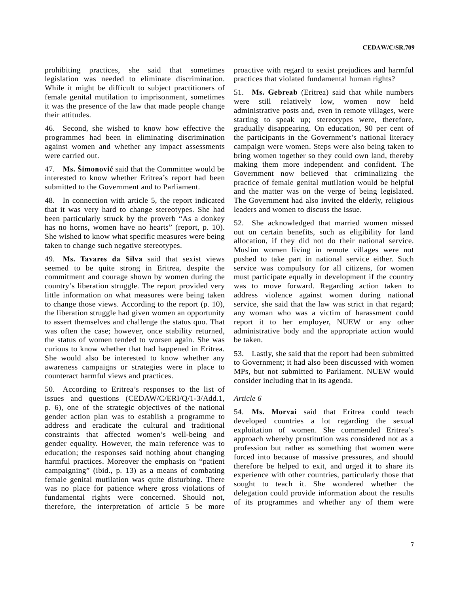prohibiting practices, she said that sometimes legislation was needed to eliminate discrimination. While it might be difficult to subject practitioners of female genital mutilation to imprisonment, sometimes it was the presence of the law that made people change their attitudes.

46. Second, she wished to know how effective the programmes had been in eliminating discrimination against women and whether any impact assessments were carried out.

47. **Ms. äimonović** said that the Committee would be interested to know whether Eritrea's report had been submitted to the Government and to Parliament.

48. In connection with article 5, the report indicated that it was very hard to change stereotypes. She had been particularly struck by the proverb "As a donkey has no horns, women have no hearts" (report, p. 10). She wished to know what specific measures were being taken to change such negative stereotypes.

49. **Ms. Tavares da Silva** said that sexist views seemed to be quite strong in Eritrea, despite the commitment and courage shown by women during the country's liberation struggle. The report provided very little information on what measures were being taken to change those views. According to the report (p. 10), the liberation struggle had given women an opportunity to assert themselves and challenge the status quo. That was often the case; however, once stability returned, the status of women tended to worsen again. She was curious to know whether that had happened in Eritrea. She would also be interested to know whether any awareness campaigns or strategies were in place to counteract harmful views and practices.

50. According to Eritrea's responses to the list of issues and questions (CEDAW/C/ERI/Q/1-3/Add.1, p. 6), one of the strategic objectives of the national gender action plan was to establish a programme to address and eradicate the cultural and traditional constraints that affected women's well-being and gender equality. However, the main reference was to education; the responses said nothing about changing harmful practices. Moreover the emphasis on "patient campaigning" (ibid., p. 13) as a means of combating female genital mutilation was quite disturbing. There was no place for patience where gross violations of fundamental rights were concerned. Should not, therefore, the interpretation of article 5 be more

proactive with regard to sexist prejudices and harmful practices that violated fundamental human rights?

51. **Ms. Gebreab** (Eritrea) said that while numbers were still relatively low, women now held administrative posts and, even in remote villages, were starting to speak up; stereotypes were, therefore, gradually disappearing. On education, 90 per cent of the participants in the Government's national literacy campaign were women. Steps were also being taken to bring women together so they could own land, thereby making them more independent and confident. The Government now believed that criminalizing the practice of female genital mutilation would be helpful and the matter was on the verge of being legislated. The Government had also invited the elderly, religious leaders and women to discuss the issue.

52. She acknowledged that married women missed out on certain benefits, such as eligibility for land allocation, if they did not do their national service. Muslim women living in remote villages were not pushed to take part in national service either. Such service was compulsory for all citizens, for women must participate equally in development if the country was to move forward. Regarding action taken to address violence against women during national service, she said that the law was strict in that regard; any woman who was a victim of harassment could report it to her employer, NUEW or any other administrative body and the appropriate action would be taken.

53. Lastly, she said that the report had been submitted to Government; it had also been discussed with women MPs, but not submitted to Parliament. NUEW would consider including that in its agenda.

#### *Article 6*

54. **Ms. Morvai** said that Eritrea could teach developed countries a lot regarding the sexual exploitation of women. She commended Eritrea's approach whereby prostitution was considered not as a profession but rather as something that women were forced into because of massive pressures, and should therefore be helped to exit, and urged it to share its experience with other countries, particularly those that sought to teach it. She wondered whether the delegation could provide information about the results of its programmes and whether any of them were